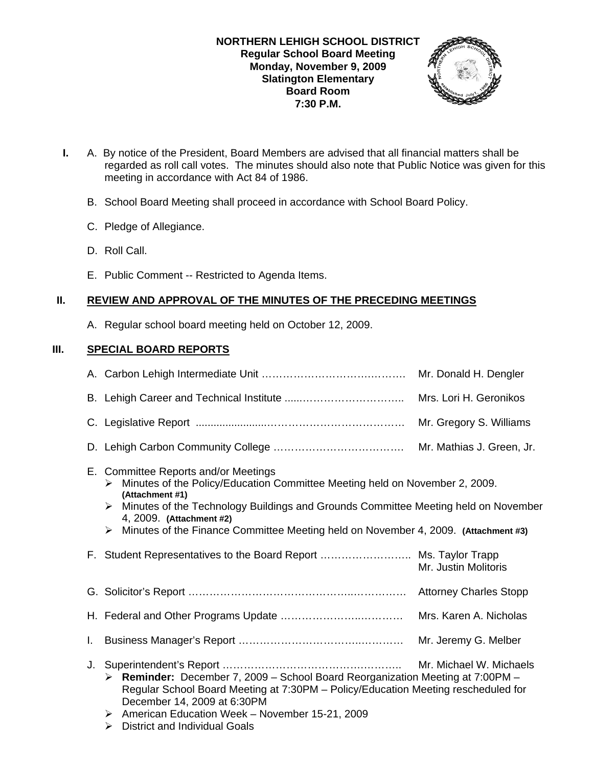

- **I.** A. By notice of the President, Board Members are advised that all financial matters shall be regarded as roll call votes. The minutes should also note that Public Notice was given for this meeting in accordance with Act 84 of 1986.
	- B. School Board Meeting shall proceed in accordance with School Board Policy.
	- C. Pledge of Allegiance.
	- D. Roll Call.
	- E. Public Comment -- Restricted to Agenda Items.

# **II. REVIEW AND APPROVAL OF THE MINUTES OF THE PRECEDING MEETINGS**

A. Regular school board meeting held on October 12, 2009.

# **III. SPECIAL BOARD REPORTS**

|    |                                                                                                                                                                                                                                                                                                                                                               | Mr. Donald H. Dengler     |
|----|---------------------------------------------------------------------------------------------------------------------------------------------------------------------------------------------------------------------------------------------------------------------------------------------------------------------------------------------------------------|---------------------------|
|    |                                                                                                                                                                                                                                                                                                                                                               | Mrs. Lori H. Geronikos    |
|    |                                                                                                                                                                                                                                                                                                                                                               | Mr. Gregory S. Williams   |
|    |                                                                                                                                                                                                                                                                                                                                                               | Mr. Mathias J. Green, Jr. |
|    | E. Committee Reports and/or Meetings<br>Minutes of the Policy/Education Committee Meeting held on November 2, 2009.<br>➤<br>(Attachment #1)<br>Minutes of the Technology Buildings and Grounds Committee Meeting held on November<br>➤<br>4, 2009. (Attachment #2)<br>Minutes of the Finance Committee Meeting held on November 4, 2009. (Attachment #3)<br>➤ |                           |
|    | F. Student Representatives to the Board Report  Ms. Taylor Trapp                                                                                                                                                                                                                                                                                              | Mr. Justin Molitoris      |
|    |                                                                                                                                                                                                                                                                                                                                                               |                           |
|    |                                                                                                                                                                                                                                                                                                                                                               | Mrs. Karen A. Nicholas    |
| I. |                                                                                                                                                                                                                                                                                                                                                               | Mr. Jeremy G. Melber      |
| J. | <b>Reminder:</b> December 7, 2009 – School Board Reorganization Meeting at 7:00PM –<br>≻<br>Regular School Board Meeting at 7:30PM - Policy/Education Meeting rescheduled for<br>December 14, 2009 at 6:30PM<br>American Education Week - November 15-21, 2009<br>➤<br><b>District and Individual Goals</b><br>➤                                              | Mr. Michael W. Michaels   |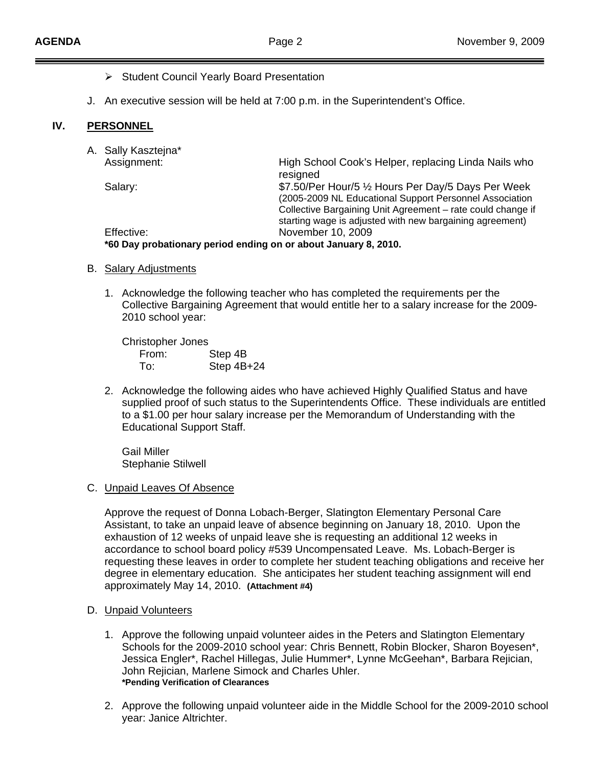- ¾ Student Council Yearly Board Presentation
- J. An executive session will be held at 7:00 p.m. in the Superintendent's Office.

#### **IV. PERSONNEL**

| A. Sally Kasztejna*                                             |                                                                                                                                                                               |  |
|-----------------------------------------------------------------|-------------------------------------------------------------------------------------------------------------------------------------------------------------------------------|--|
| Assignment:                                                     | High School Cook's Helper, replacing Linda Nails who<br>resigned                                                                                                              |  |
| Salary:                                                         | \$7.50/Per Hour/5 1/2 Hours Per Day/5 Days Per Week<br>(2005-2009 NL Educational Support Personnel Association<br>Collective Bargaining Unit Agreement - rate could change if |  |
|                                                                 | starting wage is adjusted with new bargaining agreement)                                                                                                                      |  |
| Effective:                                                      | November 10, 2009                                                                                                                                                             |  |
| *60 Day probationary period ending on or about January 8, 2010. |                                                                                                                                                                               |  |
|                                                                 |                                                                                                                                                                               |  |

- B. Salary Adjustments
	- 1. Acknowledge the following teacher who has completed the requirements per the Collective Bargaining Agreement that would entitle her to a salary increase for the 2009- 2010 school year:

Christopher Jones<br>From: Step 4B From: To: Step 4B+24

2. Acknowledge the following aides who have achieved Highly Qualified Status and have supplied proof of such status to the Superintendents Office. These individuals are entitled to a \$1.00 per hour salary increase per the Memorandum of Understanding with the Educational Support Staff.

 Gail Miller Stephanie Stilwell

#### C. Unpaid Leaves Of Absence

Approve the request of Donna Lobach-Berger, Slatington Elementary Personal Care Assistant, to take an unpaid leave of absence beginning on January 18, 2010. Upon the exhaustion of 12 weeks of unpaid leave she is requesting an additional 12 weeks in accordance to school board policy #539 Uncompensated Leave. Ms. Lobach-Berger is requesting these leaves in order to complete her student teaching obligations and receive her degree in elementary education. She anticipates her student teaching assignment will end approximately May 14, 2010. **(Attachment #4)**

- D. Unpaid Volunteers
	- 1. Approve the following unpaid volunteer aides in the Peters and Slatington Elementary Schools for the 2009-2010 school year: Chris Bennett, Robin Blocker, Sharon Boyesen\*, Jessica Engler\*, Rachel Hillegas, Julie Hummer\*, Lynne McGeehan\*, Barbara Rejician, John Rejician, Marlene Simock and Charles Uhler.  **\*Pending Verification of Clearances**
	- 2. Approve the following unpaid volunteer aide in the Middle School for the 2009-2010 school year: Janice Altrichter.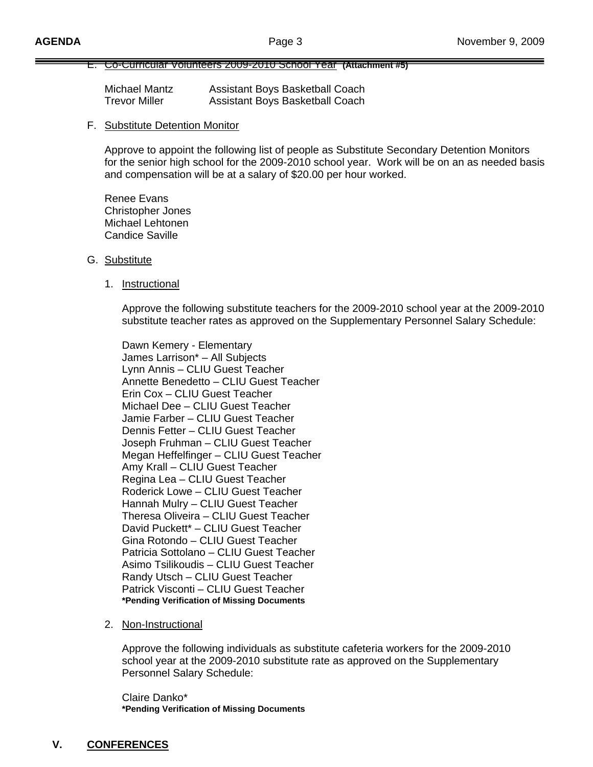#### E. Co-Curricular Volunteers 2009-2010 School Year **(Attachment #5)**

| Michael Mantz        | Assistant Boys Basketball Coach |
|----------------------|---------------------------------|
| <b>Trevor Miller</b> | Assistant Boys Basketball Coach |

### F. Substitute Detention Monitor

 Approve to appoint the following list of people as Substitute Secondary Detention Monitors for the senior high school for the 2009-2010 school year. Work will be on an as needed basis and compensation will be at a salary of \$20.00 per hour worked.

 Renee Evans Christopher Jones Michael Lehtonen Candice Saville

#### G. Substitute

1. Instructional

 Approve the following substitute teachers for the 2009-2010 school year at the 2009-2010 substitute teacher rates as approved on the Supplementary Personnel Salary Schedule:

Dawn Kemery - Elementary James Larrison\* – All Subjects Lynn Annis – CLIU Guest Teacher Annette Benedetto – CLIU Guest Teacher Erin Cox – CLIU Guest Teacher Michael Dee – CLIU Guest Teacher Jamie Farber – CLIU Guest Teacher Dennis Fetter – CLIU Guest Teacher Joseph Fruhman – CLIU Guest Teacher Megan Heffelfinger – CLIU Guest Teacher Amy Krall – CLIU Guest Teacher Regina Lea – CLIU Guest Teacher Roderick Lowe – CLIU Guest Teacher Hannah Mulry – CLIU Guest Teacher Theresa Oliveira – CLIU Guest Teacher David Puckett\* – CLIU Guest Teacher Gina Rotondo – CLIU Guest Teacher Patricia Sottolano – CLIU Guest Teacher Asimo Tsilikoudis – CLIU Guest Teacher Randy Utsch – CLIU Guest Teacher Patrick Visconti – CLIU Guest Teacher **\*Pending Verification of Missing Documents**

2. Non-Instructional

 Approve the following individuals as substitute cafeteria workers for the 2009-2010 school year at the 2009-2010 substitute rate as approved on the Supplementary Personnel Salary Schedule:

 Claire Danko\* **\*Pending Verification of Missing Documents**

# **V. CONFERENCES**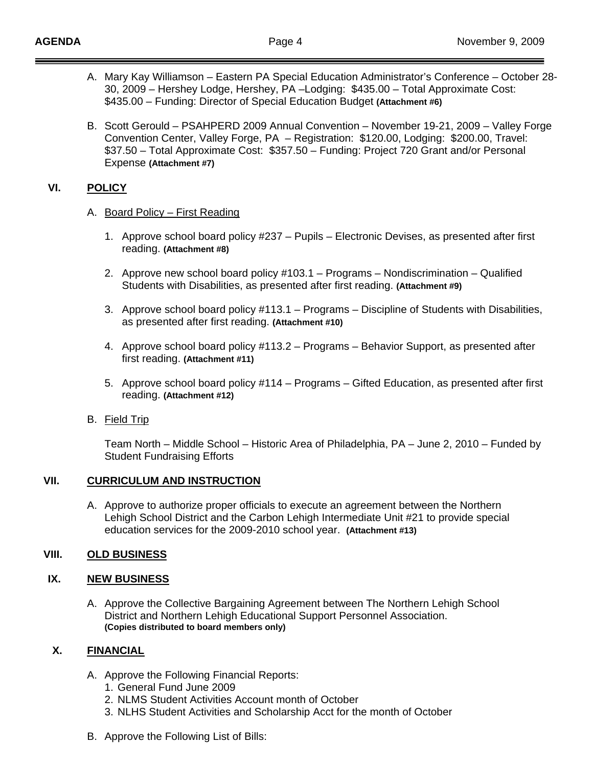- A. Mary Kay Williamson Eastern PA Special Education Administrator's Conference October 28- 30, 2009 – Hershey Lodge, Hershey, PA –Lodging: \$435.00 – Total Approximate Cost: \$435.00 – Funding: Director of Special Education Budget **(Attachment #6)**
- B. Scott Gerould PSAHPERD 2009 Annual Convention November 19-21, 2009 Valley Forge Convention Center, Valley Forge, PA – Registration: \$120.00, Lodging: \$200.00, Travel: \$37.50 – Total Approximate Cost: \$357.50 – Funding: Project 720 Grant and/or Personal Expense **(Attachment #7)**

# **VI. POLICY**

- A. Board Policy First Reading
	- 1. Approve school board policy #237 Pupils Electronic Devises, as presented after first reading. **(Attachment #8)**
	- 2. Approve new school board policy #103.1 Programs Nondiscrimination Qualified Students with Disabilities, as presented after first reading. **(Attachment #9)**
	- 3. Approve school board policy #113.1 Programs Discipline of Students with Disabilities, as presented after first reading. **(Attachment #10)**
	- 4. Approve school board policy #113.2 Programs Behavior Support, as presented after first reading. **(Attachment #11)**
	- 5. Approve school board policy #114 Programs Gifted Education, as presented after first reading. **(Attachment #12)**
- B. Field Trip

Team North – Middle School – Historic Area of Philadelphia, PA – June 2, 2010 – Funded by Student Fundraising Efforts

## **VII. CURRICULUM AND INSTRUCTION**

A. Approve to authorize proper officials to execute an agreement between the Northern Lehigh School District and the Carbon Lehigh Intermediate Unit #21 to provide special education services for the 2009-2010 school year. **(Attachment #13)**

# **VIII. OLD BUSINESS**

# **IX. NEW BUSINESS**

A. Approve the Collective Bargaining Agreement between The Northern Lehigh School District and Northern Lehigh Educational Support Personnel Association. **(Copies distributed to board members only)** 

# **X. FINANCIAL**

- A. Approve the Following Financial Reports:
	- 1. General Fund June 2009
	- 2. NLMS Student Activities Account month of October
	- 3. NLHS Student Activities and Scholarship Acct for the month of October
- B. Approve the Following List of Bills: